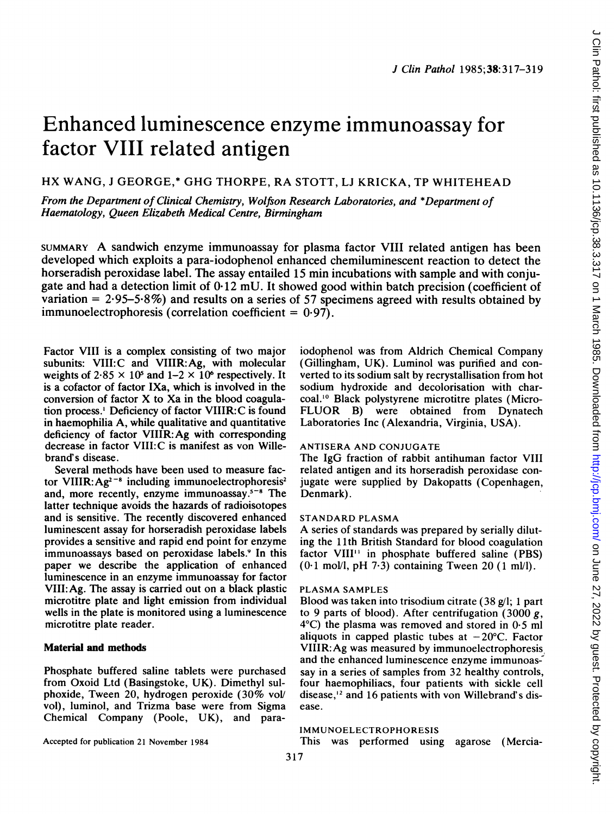# Enhanced luminescence enzyme immunoassay for factor VIII related antigen

## HX WANG, <sup>J</sup> GEORGE,\* GHG THORPE, RA STOTT, LJ KRICKA, TP WHITEHEAD

From the Department of Clinical Chemistry, Wolfson Research Laboratories, and \*Department of Haematology, Queen Elizabeth Medical Centre, Birmingham

SUMMARY A sandwich enzyme immunoassay for plasma factor VIII related antigen has been developed which exploits a para-iodophenol enhanced chemiluminescent reaction to detect the horseradish peroxidase label. The assay entailed 15 min incubations with sample and with conjugate and had a detection limit of 0 12 mU. It showed good within batch precision (coefficient of variation  $= 2.95 - 5.8\%$ ) and results on a series of 57 specimens agreed with results obtained by immunoelectrophoresis (correlation coefficient  $= 0.97$ ).

Factor VIII is a complex consisting of two major subunits: VIII:C and VIIIR:Ag, with molecular weights of  $2.85 \times 10^5$  and  $1-2 \times 10^6$  respectively. It is a cofactor of factor IXa, which is involved in the conversion of factor X to Xa in the blood coagulation process.' Deficiency of factor VIIIR:C is found in haemophilia A, while qualitative and quantitative deficiency of factor VIIIR:Ag with corresponding decrease in factor VIII:C is manifest as von Willebrand's disease.

Several methods have been used to measure factor VIIIR:  $Ag^{2-s}$  including immunoelectrophoresis<sup>2</sup> and, more recently, enzyme immunoassay.5-8 The latter technique avoids the hazards of radioisotopes and is sensitive. The recently discovered enhanced luminescent assay for horseradish peroxidase labels provides a sensitive and rapid end point for enzyme immunoassays based on peroxidase labels.<sup>9</sup> In this paper we describe the application of enhanced luminescence in an enzyme immunoassay for factor VIII:Ag. The assay is carried out on a black plastic microtitre plate and light emission from individual wells in the plate is monitored using a luminescence microtitre plate reader.

#### Material and methods

Phosphate buffered saline tablets were purchased from Oxoid Ltd (Basingstoke, UK). Dimethyl sulphoxide, Tween 20, hydrogen peroxide (30% vol/ vol), luminol, and Trizma base were from Sigma Chemical Company (Poole, UK), and para-

Accepted for publication 21 November 1984

iodophenol was from Aldrich Chemical Company (Gillingham, UK). Luminol was purified and converted to its sodium salt by recrystallisation from hot sodium hydroxide and decolorisation with charcoal.'0 Black polystyrene microtitre plates (Micro-FLUOR B) were obtained from Dynatech Laboratories Inc (Alexandria, Virginia, USA).

#### ANTISERA AND CONJUGATE

The IgG fraction of rabbit antihuman factor VIII related antigen and its horseradish peroxidase conjugate were supplied by Dakopatts (Copenhagen, Denmark).

#### STANDARD PLASMA

A series of standards was prepared by serially diluting the 11th British Standard for blood coagulation factor VIII" in phosphate buffered saline (PBS)  $(0.1 \text{ mol/l}, \text{pH } 7.3)$  containing Tween 20  $(1 \text{ ml/l})$ .

### PLASMA SAMPLES

Blood was taken into trisodium citrate (38 g/l; <sup>1</sup> part to 9 parts of blood). After centrifugation  $(3000 g,$ 4°C) the plasma was removed and stored in 0-5 ml aliquots in capped plastic tubes at  $-20^{\circ}$ C. Factor VIIIR:Ag was measured by immunoelectrophoresis and the enhanced luminescence enzyme immunoassay in a series of samples from 32 healthy controls, four haemophiliacs, four patients with sickle cell disease,'2 and 16 patients with von Willebrand's disease.

#### IMMUNOELECTROPHORESIS

This was performed using agarose (Mercia-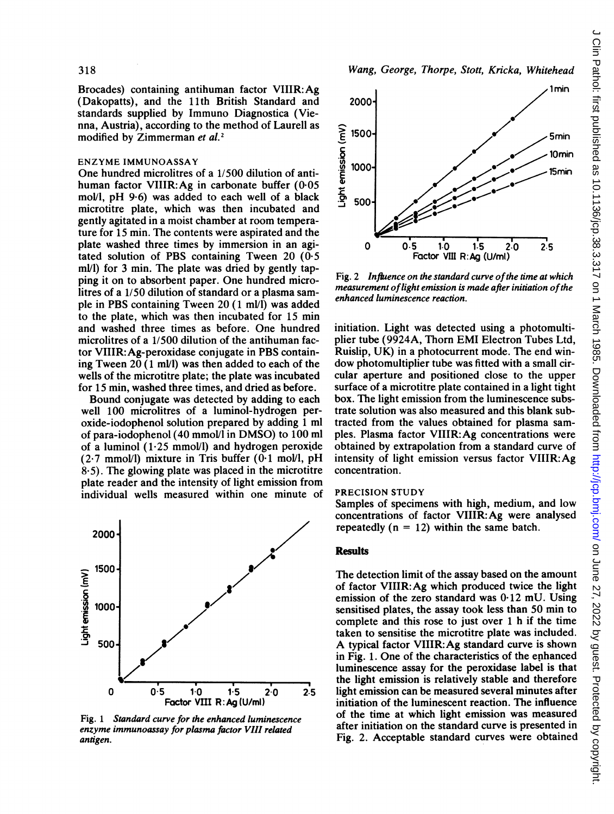Brocades) containing antihuman factor VIIIR: Ag (Dakopatts), and the 11th British Standard and standards supplied by Immuno Diagnostica (Vienna, Austria), according to the method of Laurel <sup>1</sup> as modified by Zimmerman et al.<sup>2</sup>

#### ENZYME IMMUNOASSAY

One hundred microlitres of a  $1/500$  dilution of antihuman factor VIIIR: Ag in carbonate buffer  $(0.05)$ mol/l, pH 9.6) was added to each well of a black microtitre plate, which was then incubated; and gently agitated in a moist chamber at room temperature for 15 min. The contents were aspirated and the plate washed three times by immersion in an agitated solution of PBS containing Tween 20 (0.5) ml/l) for 3 min. The plate was dried by gently tapping it on to absorbent paper. One hundred mic litres of a 1/50 dilution of standard or a plasma sample in PBS containing Tween 20 (1 ml/l) was added to the plate, which was then incubated for 15 min and washed three times as before. One hund microlitres of a  $1/500$  dilution of the antihuman factor VIIIR:Ag-peroxidase conjugate in PBS conta ing Tween 20  $(1 \text{ ml/l})$  was then added to each of the wells of the microtitre plate; the plate was incubated for 15 min, washed three times, and dried as befo

Bound conjugate was detected by adding to e well 100 microlitres of a luminol-hydrogen peroxide-iodophenol solution prepared by adding <sup>I</sup> of para-iodophenol  $(40 \text{ mmol/l}$  in DMSO) to 100 ml of a luminol  $(1.25 \text{ mmol/l})$  and hydrogen peroxide  $(2.7 \text{ mmol/l})$  mixture in Tris buffer  $(0.1 \text{ mol/l}, \text{pH})$  $8.5$ ). The glowing plate was placed in the microtitre plate reader and the intensity of light emission from individual wells measured within one minute of



Fig. <sup>1</sup> Standard curve for the enhanced luminescence enzyme immunoassay for plasma factor VIII related antigen.



Wang, George, Thorpe, Stott, Kricka, Whitehead

Fig. 2 Influence on the standard curve of the time at which measurement of light emission is made after initiation of the enhanced luminescence reaction.

initiation. Light was detected using a photomultiplier tube (9924A, Thorn EMI Electron Tubes Ltd, Ruislip, UK) in a photocurrent mode. The end window photomultiplier tube was fitted with a small circular aperture and positioned close to the upper surface of a microtitre plate contained in a light tight box. The light emission from the luminescence substrate solution was also measured and this blank subtracted from the values obtained for plasma samples. Plasma factor VIIIR: Ag concentrations were obtained by extrapolation from a standard curve of intensity of light emission versus factor VIIIR: $Ag$ concentration.

#### PRECISION STUDY

Samples of specimens with high, medium, and low concentrations of factor VIIIR:Ag were analysed repeatedly  $(n = 12)$  within the same batch.

#### **Results**

The detection limit of the assay based on the amount of factor VIIIR:Ag which produced twice the light emission of the zero standard was 0-12 mU. Using sensitised plates, the assay took less than 50 min to complete and this rose to just over <sup>1</sup> h if the time taken to sensitise the microtitre plate was included. A typical factor VIIIR:Ag standard curve is shown in Fig. 1. One of the characteristics of the enhanced luminescence assay for the peroxidase label is that the light emission is relatively stable and therefore 2.5 light emission can be measured several minutes after initiation of the luminescent reaction. The influence of the time at which light emission was measured after initiation on the standard curve is presented in Fig. 2. Acceptable standard curves were obtained